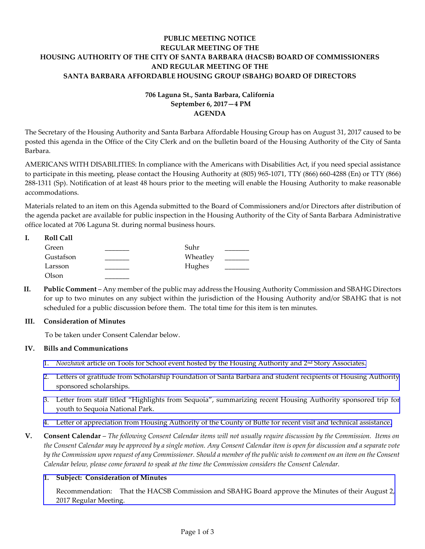# **PUBLIC MEETING NOTICE REGULAR MEETING OF THE HOUSING AUTHORITY OF THE CITY OF SANTA BARBARA (HACSB) BOARD OF COMMISSIONERS AND REGULAR MEETING OF THE SANTA BARBARA AFFORDABLE HOUSING GROUP (SBAHG) BOARD OF DIRECTORS**

# **706 Laguna St., Santa Barbara, California September 6, 2017—4 PM AGENDA**

The Secretary of the Housing Authority and Santa Barbara Affordable Housing Group has on August 31, 2017 caused to be posted this agenda in the Office of the City Clerk and on the bulletin board of the Housing Authority of the City of Santa Barbara.

AMERICANS WITH DISABILITIES: In compliance with the Americans with Disabilities Act, if you need special assistance to participate in this meeting, please contact the Housing Authority at (805) 965-1071, TTY (866) 660-4288 (En) or TTY (866) 288-1311 (Sp). Notification of at least 48 hours prior to the meeting will enable the Housing Authority to make reasonable accommodations.

Materials related to an item on this Agenda submitted to the Board of Commissioners and/or Directors after distribution of the agenda packet are available for public inspection in the Housing Authority of the City of Santa Barbara Administrative office located at 706 Laguna St. during normal business hours.

| <b>Roll Call</b> |          |  |
|------------------|----------|--|
| Green            | Suhr     |  |
| Gustafson        | Wheatley |  |
| Larsson          | Hughes   |  |
| Olson            |          |  |

**II. Public Comment** – Any member of the public may address the Housing Authority Commission and SBAHG Directors for up to two minutes on any subject within the jurisdiction of the Housing Authority and/or SBAHG that is not scheduled for a public discussion before them. The total time for this item is ten minutes.

## **III. Consideration of Minutes**

To be taken under Consent Calendar below.

## **IV. Bills and Communications**

- 1. *Noozhawk* [article on Tools for School event hosted by the Housing Authority and 2](http://hacsb.org/download/meetings_2017/items/09_september/item_IV_I_2017_09_06.pdf)<sup>nd</sup> Story Associates.
- [2. Letters of gratitude from Scholarship Foundation of Santa Barbara and student recipients of Housing Authority](http://hacsb.org/download/meetings_2017/items/09_september/item_IV_II_2017_09_06.pdf)  sponsored scholarships.
- 3. Letter from staff [titled "Highlights from Sequoia", summarizing recent Housing Authority sponsored trip](http://hacsb.org/download/meetings_2017/items/09_september/item_IV_III_2017_09_06.pdf) for youth to Sequoia National Park.
- [4. Letter of appreciation from Housing Authority of the County of Butte for recent visit and technical assistance.](http://hacsb.org/download/meetings_2017/items/09_september/item_IV_IV_2017_09_06.pdf)
- **V. Consent Calendar** *The following Consent Calendar items will not usually require discussion by the Commission. Items on the Consent Calendar may be approved by a single motion. Any Consent Calendar item is open for discussion and a separate vote by the Commission upon request of any Commissioner. Should a member of the public wish to comment on an item on the Consent Calendar below, please come forward to speak at the time the Commission considers the Consent Calendar.*

#### **1. Subject: Consideration of Minutes**

[Recommendation: That the HACSB Commission and SBAHG Board approve the Minutes of their August 2,](http://hacsb.org/download/meetings_2017/items/09_september/item_V_I_2017_09_06.pdf)  2017 Regular Meeting.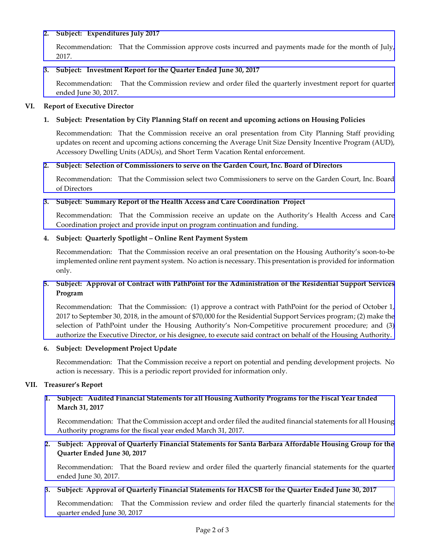## **2. Subject: Expenditures July 2017**

[Recommendation: That the Commission approve costs incurred and payments made for the month of July,](http://hacsb.org/download/meetings_2017/items/09_september/item_V_II_2017_09_06.pdf)  2017.

## **3. Subject: Investment Report for the Quarter Ended June 30, 2017**

[Recommendation: That the Commission review and order filed the quarterly investment report for quarter](http://hacsb.org/download/meetings_2017/items/09_september/item_V_III_2017_09_06.pdf)  ended June 30, 2017.

## **VI. Report of Executive Director**

# **1. Subject: Presentation by City Planning Staff on recent and upcoming actions on Housing Policies**

Recommendation: That the Commission receive an oral presentation from City Planning Staff providing updates on recent and upcoming actions concerning the Average Unit Size Density Incentive Program (AUD), Accessory Dwelling Units (ADUs), and Short Term Vacation Rental enforcement.

## **2. Subject: Selection of Commissioners to serve on the Garden Court, Inc. Board of Directors**

[Recommendation: That the Commission select two Commissioners to serve on the Garden Court, Inc. Board](http://hacsb.org/download/meetings_2017/items/09_september/item_VI_II_2017_09_06.pdf)  of Directors

## **3. [Subject: Summary Report of the Health Access and Care Coordination Project](http://hacsb.org/download/meetings_2017/items/09_september/item_VI_III_2017_09_06.pdf)**

Recommendation: That the Commission receive an update on the Authority's Health Access and Care Coordination project and provide input on program continuation and funding.

## **4. Subject: Quarterly Spotlight – Online Rent Payment System**

Recommendation: That the Commission receive an oral presentation on the Housing Authority's soon-to-be implemented online rent payment system. No action is necessary. This presentation is provided for information only.

# **5. Subject: Approval of Contract with PathPoint for the Administration of the Residential Support Services Program**

[Recommendation: That the Commission: \(1\) approve a contract with PathPoint for the period of October 1,](http://hacsb.org/download/meetings_2017/items/09_september/item_VI_V_2017_09_06.pdf)  2017 to September 30, 2018, in the amount of \$70,000 for the Residential Support Services program; (2) make the selection of PathPoint under the Housing Authority's Non-Competitive procurement procedure; and (3) authorize the Executive Director, or his designee, to execute said contract on behalf of the Housing Authority.

## **6. Subject: Development Project Update**

Recommendation: That the Commission receive a report on potential and pending development projects. No action is necessary. This is a periodic report provided for information only.

## **VII. Treasurer's Report**

# **1. Subject: Audited Financial Statements for all Housing Authority Programs for the Fiscal Year Ended March 31, 2017**

 [Recommendation: That the Commission accept and order filed the audited financial statements for all Housing](http://hacsb.org/download/meetings_2017/items/09_september/item_VII_I_2017_09_06.pdf) Authority programs for the fiscal year ended March 31, 2017.

# **2. Subject: Approval of Quarterly Financial Statements for Santa Barbara Affordable Housing Group for the Quarter Ended June 30, 2017**

 [Recommendation: That the Board review and order filed the quarterly financial statements for the quarter](http://hacsb.org/download/meetings_2017/items/09_september/item_VII_II_2017_09_06.pdf) ended June 30, 2017.

## **3. Subject: Approval of Quarterly Financial Statements for HACSB for the Quarter Ended June 30, 2017**

 [Recommendation: That the Commission review and order filed the quarterly financial statements for the](http://hacsb.org/download/meetings_2017/items/09_september/item_VII_III_2017_09_06.pdf) quarter ended June 30, 2017